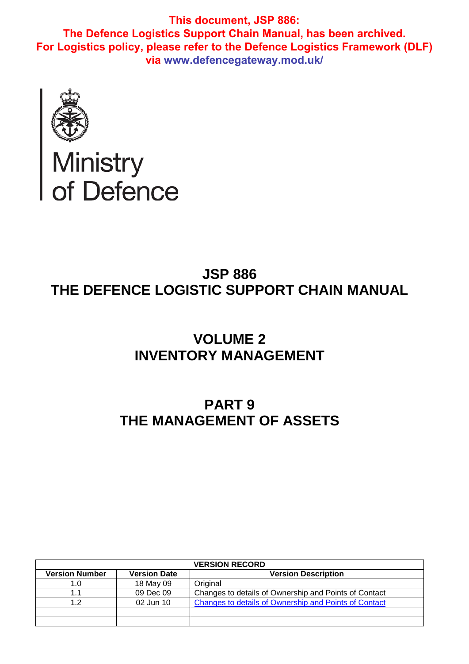

# Ministry<br>of Defence

# **JSP 886 THE DEFENCE LOGISTIC SUPPORT CHAIN MANUAL**

# **VOLUME 2 INVENTORY MANAGEMENT**

## **PART 9 THE MANAGEMENT OF ASSETS**

| <b>VERSION RECORD</b> |                     |                                                       |  |  |
|-----------------------|---------------------|-------------------------------------------------------|--|--|
| <b>Version Number</b> | <b>Version Date</b> | <b>Version Description</b>                            |  |  |
| .O                    | 18 May 09           | Original                                              |  |  |
|                       | 09 Dec 09           | Changes to details of Ownership and Points of Contact |  |  |
| 1 ລ                   | 02 Jun 10           | Changes to details of Ownership and Points of Contact |  |  |
|                       |                     |                                                       |  |  |
|                       |                     |                                                       |  |  |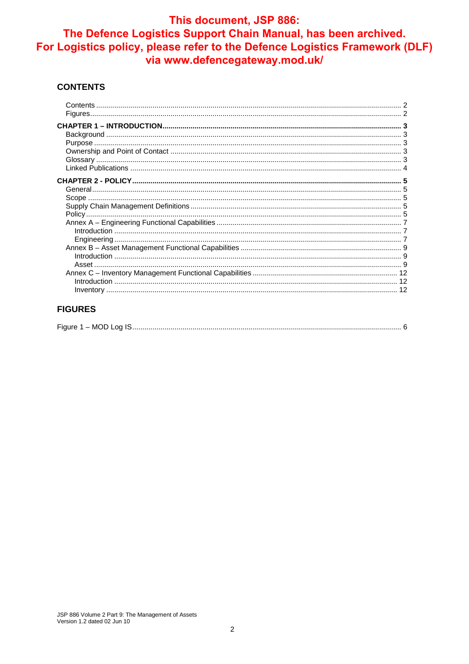#### **CONTENTS**

## **FIGURES**

| Eian | - MOD -<br>na |  |
|------|---------------|--|
|      |               |  |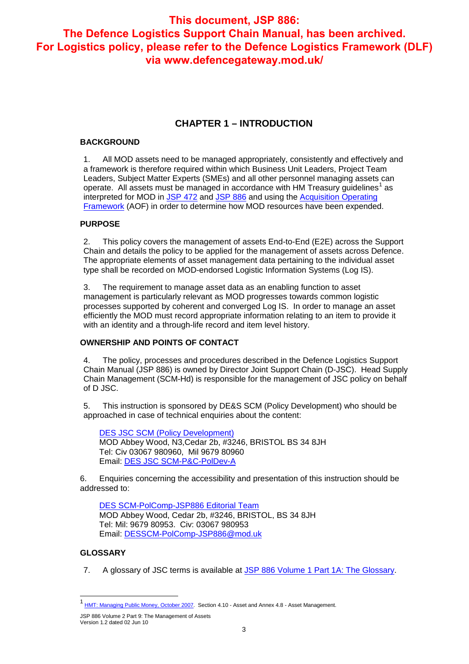## **CHAPTER 1 – INTRODUCTION**

#### **BACKGROUND**

1. All MOD assets need to be managed appropriately, consistently and effectively and a framework is therefore required within which Business Unit Leaders, Project Team Leaders, Subject Matter Experts (SMEs) and all other personnel managing assets can operate. All assets must be managed in accordance with HM Treasury guidelines<sup>1</sup> as interpreted for MOD in JSP 472 and JSP 886 and using the Acquisition Operating Framework (AOF) in order to determine how MOD resources have been expended.

#### **PURPOSE**

2. This policy covers the management of assets End-to-End (E2E) across the Support Chain and details the policy to be applied for the management of assets across Defence. The appropriate elements of asset management data pertaining to the individual asset type shall be recorded on MOD-endorsed Logistic Information Systems (Log IS).

3. The requirement to manage asset data as an enabling function to asset management is particularly relevant as MOD progresses towards common logistic processes supported by coherent and converged Log IS. In order to manage an asset efficiently the MOD must record appropriate information relating to an item to provide it with an identity and a through-life record and item level history.

## **OWNERSHIP AND POINTS OF CONTACT**

4. The policy, processes and procedures described in the Defence Logistics Support Chain Manual (JSP 886) is owned by Director Joint Support Chain (D-JSC). Head Supply Chain Management (SCM-Hd) is responsible for the management of JSC policy on behalf of D JSC.

5. This instruction is sponsored by DE&S SCM (Policy Development) who should be approached in case of technical enquiries about the content:

DES JSC SCM (Policy Development) MOD Abbey Wood, N3,Cedar 2b, #3246, BRISTOL BS 34 8JH Tel: Civ 03067 980960, Mil 9679 80960 Email: DES JSC SCM-P&C-PolDev-A

6. Enquiries concerning the accessibility and presentation of this instruction should be addressed to:

DES SCM-PolComp-JSP886 Editorial Team MOD Abbey Wood, Cedar 2b, #3246, BRISTOL, BS 34 8JH Tel: Mil: 9679 80953. Civ: 03067 980953 Email: DESSCM-PolComp-JSP886@mod.uk

#### **GLOSSARY**

-

7. A glossary of JSC terms is available at JSP 886 Volume 1 Part 1A: The Glossary.

JSP 886 Volume 2 Part 9: The Management of Assets Version 1.2 dated 02 Jun 10

<sup>&</sup>lt;sup>1</sup> HMT: Managing Public Money, October 2007. Section 4.10 - Asset and Annex 4.8 - Asset Management.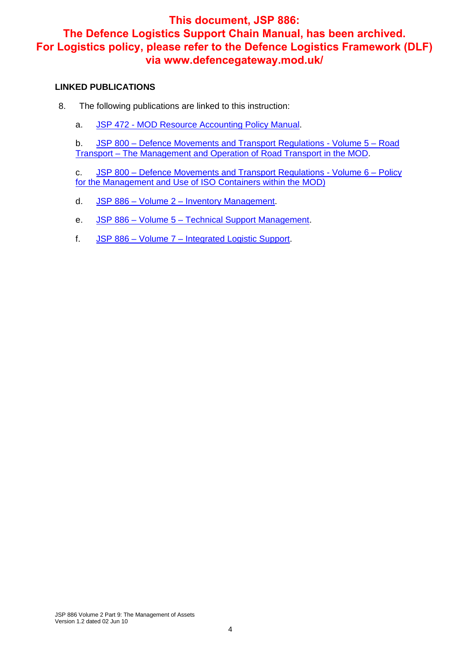#### **LINKED PUBLICATIONS**

- 8. The following publications are linked to this instruction:
	- a. JSP 472 MOD Resource Accounting Policy Manual.

b. JSP 800 – Defence Movements and Transport Regulations - Volume 5 – Road Transport – The Management and Operation of Road Transport in the MOD.

c. JSP 800 – Defence Movements and Transport Regulations - Volume 6 – Policy for the Management and Use of ISO Containers within the MOD)

- d. JSP 886 Volume 2 Inventory Management.
- e. JSP 886 Volume 5 Technical Support Management.
- f. JSP 886 Volume 7 Integrated Logistic Support.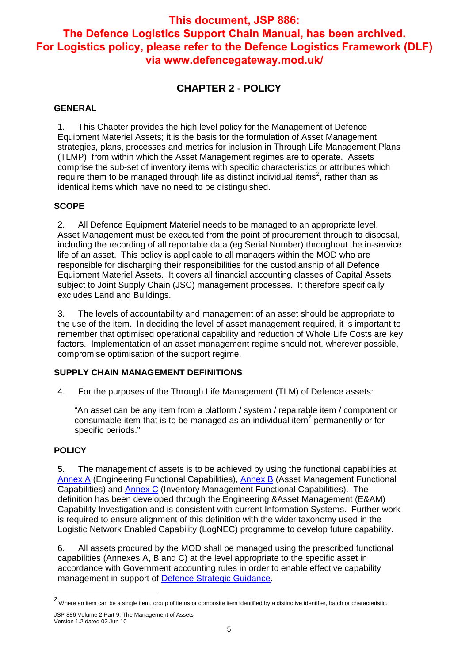## **CHAPTER 2 - POLICY**

### **GENERAL**

1. This Chapter provides the high level policy for the Management of Defence Equipment Materiel Assets; it is the basis for the formulation of Asset Management strategies, plans, processes and metrics for inclusion in Through Life Management Plans (TLMP), from within which the Asset Management regimes are to operate. Assets comprise the sub-set of inventory items with specific characteristics or attributes which require them to be managed through life as distinct individual items<sup>2</sup>, rather than as identical items which have no need to be distinguished.

## **SCOPE**

2. All Defence Equipment Materiel needs to be managed to an appropriate level. Asset Management must be executed from the point of procurement through to disposal, including the recording of all reportable data (eg Serial Number) throughout the in-service life of an asset. This policy is applicable to all managers within the MOD who are responsible for discharging their responsibilities for the custodianship of all Defence Equipment Materiel Assets. It covers all financial accounting classes of Capital Assets subject to Joint Supply Chain (JSC) management processes. It therefore specifically excludes Land and Buildings.

3. The levels of accountability and management of an asset should be appropriate to the use of the item. In deciding the level of asset management required, it is important to remember that optimised operational capability and reduction of Whole Life Costs are key factors. Implementation of an asset management regime should not, wherever possible, compromise optimisation of the support regime.

## **SUPPLY CHAIN MANAGEMENT DEFINITIONS**

4. For the purposes of the Through Life Management (TLM) of Defence assets:

"An asset can be any item from a platform / system / repairable item / component or consumable item that is to be managed as an individual item<sup>2</sup> permanently or for specific periods."

## **POLICY**

-

5. The management of assets is to be achieved by using the functional capabilities at Annex A (Engineering Functional Capabilities), Annex B (Asset Management Functional Capabilities) and Annex C (Inventory Management Functional Capabilities). The definition has been developed through the Engineering &Asset Management (E&AM) Capability Investigation and is consistent with current Information Systems. Further work is required to ensure alignment of this definition with the wider taxonomy used in the Logistic Network Enabled Capability (LogNEC) programme to develop future capability.

6. All assets procured by the MOD shall be managed using the prescribed functional capabilities (Annexes A, B and C) at the level appropriate to the specific asset in accordance with Government accounting rules in order to enable effective capability management in support of Defence Strategic Guidance.

JSP 886 Volume 2 Part 9: The Management of Assets  $^2$  Where an item can be a single item, group of items or composite item identified by a distinctive identifier, batch or characteristic.

Version 1.2 dated 02 Jun 10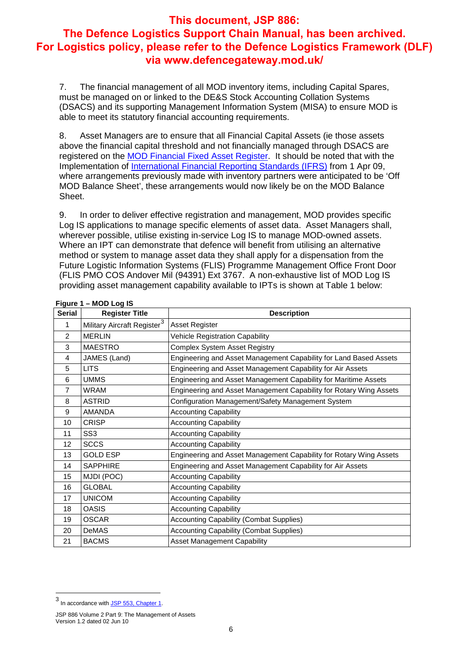7. The financial management of all MOD inventory items, including Capital Spares, must be managed on or linked to the DE&S Stock Accounting Collation Systems (DSACS) and its supporting Management Information System (MISA) to ensure MOD is able to meet its statutory financial accounting requirements.

8. Asset Managers are to ensure that all Financial Capital Assets (ie those assets above the financial capital threshold and not financially managed through DSACS are registered on the MOD Financial Fixed Asset Register. It should be noted that with the Implementation of International Financial Reporting Standards (IFRS) from 1 Apr 09, where arrangements previously made with inventory partners were anticipated to be 'Off MOD Balance Sheet', these arrangements would now likely be on the MOD Balance Sheet.

9. In order to deliver effective registration and management, MOD provides specific Log IS applications to manage specific elements of asset data. Asset Managers shall, wherever possible, utilise existing in-service Log IS to manage MOD-owned assets. Where an IPT can demonstrate that defence will benefit from utilising an alternative method or system to manage asset data they shall apply for a dispensation from the Future Logistic Information Systems (FLIS) Programme Management Office Front Door (FLIS PMO COS Andover Mil (94391) Ext 3767. A non-exhaustive list of MOD Log IS providing asset management capability available to IPTs is shown at Table 1 below:

| <b>Serial</b>  | <b>Register Title</b>                   | <b>Description</b>                                                 |
|----------------|-----------------------------------------|--------------------------------------------------------------------|
| 1              | Military Aircraft Register <sup>3</sup> | <b>Asset Register</b>                                              |
| 2              | <b>MERLIN</b>                           | <b>Vehicle Registration Capability</b>                             |
| 3              | <b>MAESTRO</b>                          | Complex System Asset Registry                                      |
| 4              | JAMES (Land)                            | Engineering and Asset Management Capability for Land Based Assets  |
| 5              | <b>LITS</b>                             | Engineering and Asset Management Capability for Air Assets         |
| 6              | <b>UMMS</b>                             | Engineering and Asset Management Capability for Maritime Assets    |
| $\overline{7}$ | <b>WRAM</b>                             | Engineering and Asset Management Capability for Rotary Wing Assets |
| 8              | <b>ASTRID</b>                           | Configuration Management/Safety Management System                  |
| 9              | <b>AMANDA</b>                           | <b>Accounting Capability</b>                                       |
| 10             | <b>CRISP</b>                            | <b>Accounting Capability</b>                                       |
| 11             | SS <sub>3</sub>                         | <b>Accounting Capability</b>                                       |
| 12             | <b>SCCS</b>                             | <b>Accounting Capability</b>                                       |
| 13             | <b>GOLD ESP</b>                         | Engineering and Asset Management Capability for Rotary Wing Assets |
| 14             | <b>SAPPHIRE</b>                         | Engineering and Asset Management Capability for Air Assets         |
| 15             | MJDI (POC)                              | <b>Accounting Capability</b>                                       |
| 16             | <b>GLOBAL</b>                           | <b>Accounting Capability</b>                                       |
| 17             | <b>UNICOM</b>                           | <b>Accounting Capability</b>                                       |
| 18             | <b>OASIS</b>                            | <b>Accounting Capability</b>                                       |
| 19             | <b>OSCAR</b>                            | <b>Accounting Capability (Combat Supplies)</b>                     |
| 20             | <b>DeMAS</b>                            | <b>Accounting Capability (Combat Supplies)</b>                     |
| 21             | <b>BACMS</b>                            | Asset Management Capability                                        |

## **Figure 1 – MOD Log IS**

 $\overline{a}$ 

<sup>3</sup> In accordance with <u>JSP 553, Chapter 1</u>.

JSP 886 Volume 2 Part 9: The Management of Assets Version 1.2 dated 02 Jun 10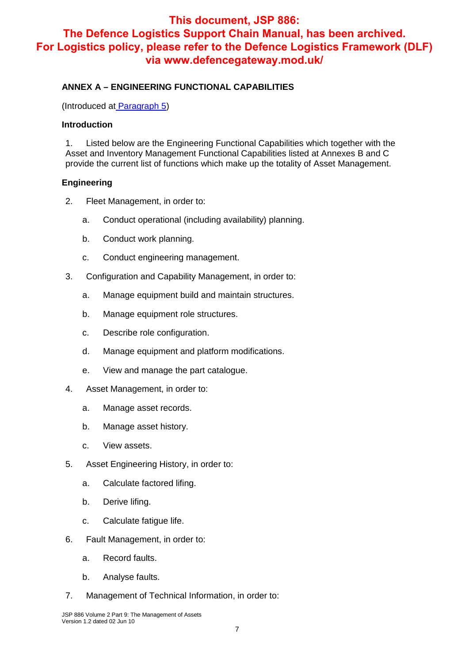## **ANNEX A – ENGINEERING FUNCTIONAL CAPABILITIES**

(Introduced at Paragraph 5)

#### **Introduction**

1. Listed below are the Engineering Functional Capabilities which together with the Asset and Inventory Management Functional Capabilities listed at Annexes B and C provide the current list of functions which make up the totality of Asset Management.

#### **Engineering**

- 2. Fleet Management, in order to:
	- a. Conduct operational (including availability) planning.
	- b. Conduct work planning.
	- c. Conduct engineering management.
- 3. Configuration and Capability Management, in order to:
	- a. Manage equipment build and maintain structures.
	- b. Manage equipment role structures.
	- c. Describe role configuration.
	- d. Manage equipment and platform modifications.
	- e. View and manage the part catalogue.
- 4. Asset Management, in order to:
	- a. Manage asset records.
	- b. Manage asset history.
	- c. View assets.
- 5. Asset Engineering History, in order to:
	- a. Calculate factored lifing.
	- b. Derive lifing.
	- c. Calculate fatigue life.
- 6. Fault Management, in order to:
	- a. Record faults.
	- b. Analyse faults.
- 7. Management of Technical Information, in order to: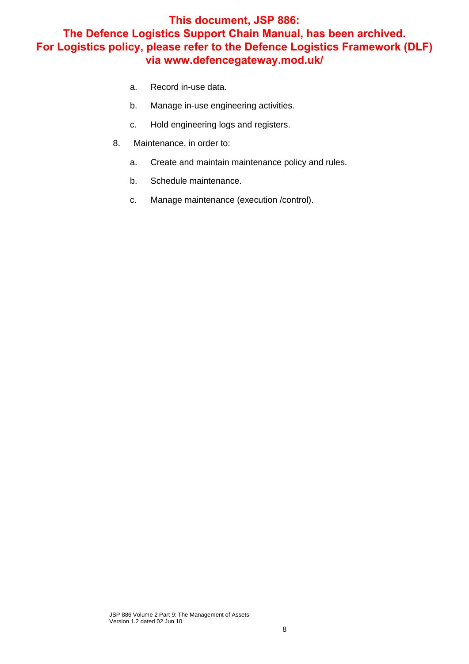- a. Record in-use data.
- b. Manage in-use engineering activities.
- c. Hold engineering logs and registers.
- 8. Maintenance, in order to:
	- a. Create and maintain maintenance policy and rules.
	- b. Schedule maintenance.
	- c. Manage maintenance (execution /control).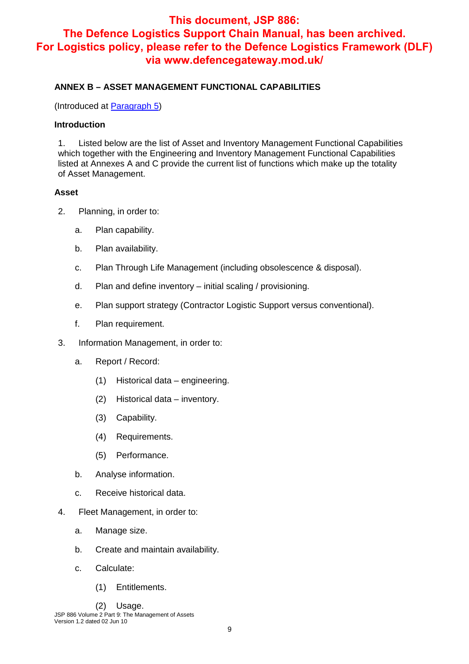## **ANNEX B – ASSET MANAGEMENT FUNCTIONAL CAPABILITIES**

(Introduced at Paragraph 5)

#### **Introduction**

1. Listed below are the list of Asset and Inventory Management Functional Capabilities which together with the Engineering and Inventory Management Functional Capabilities listed at Annexes A and C provide the current list of functions which make up the totality of Asset Management.

### **Asset**

- 2. Planning, in order to:
	- a. Plan capability.
	- b. Plan availability.
	- c. Plan Through Life Management (including obsolescence & disposal).
	- d. Plan and define inventory initial scaling / provisioning.
	- e. Plan support strategy (Contractor Logistic Support versus conventional).
	- f. Plan requirement.
- 3. Information Management, in order to:
	- a. Report / Record:
		- (1) Historical data engineering.
		- (2) Historical data inventory.
		- (3) Capability.
		- (4) Requirements.
		- (5) Performance.
	- b. Analyse information.
	- c. Receive historical data.
- 4. Fleet Management, in order to:
	- a. Manage size.
	- b. Create and maintain availability.
	- c. Calculate:
		- (1) Entitlements.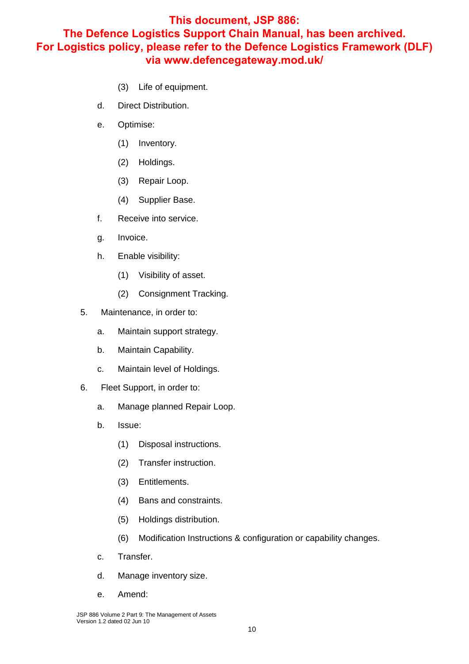## **This document, JSP 886:**

## **The Defence Logistics Support Chain Manual, has been archived. For Logistics policy, please refer to the Defence Logistics Framework (DLF) via www.defencegateway.mod.uk/**

- (3) Life of equipment.
- d. Direct Distribution.
- e. Optimise:
	- (1) Inventory.
	- (2) Holdings.
	- (3) Repair Loop.
	- (4) Supplier Base.
- f. Receive into service.
- g. Invoice.
- h. Enable visibility:
	- (1) Visibility of asset.
	- (2) Consignment Tracking.
- 5. Maintenance, in order to:
	- a. Maintain support strategy.
	- b. Maintain Capability.
	- c. Maintain level of Holdings.
- 6. Fleet Support, in order to:
	- a. Manage planned Repair Loop.
	- b. Issue:
		- (1) Disposal instructions.
		- (2) Transfer instruction.
		- (3) Entitlements.
		- (4) Bans and constraints.
		- (5) Holdings distribution.
		- (6) Modification Instructions & configuration or capability changes.
	- c. Transfer.
	- d. Manage inventory size.
	- e. Amend: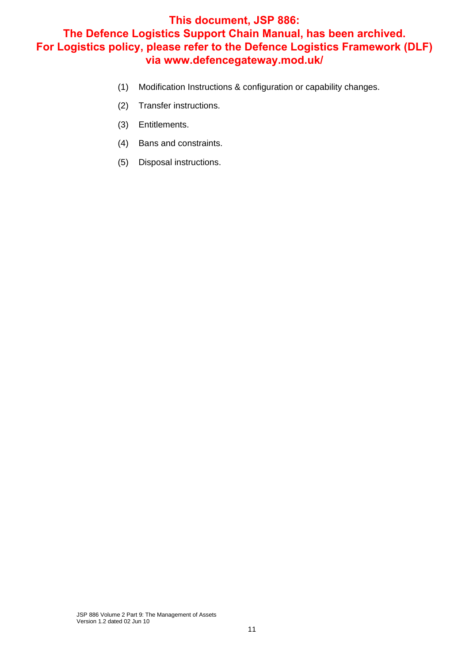- (1) Modification Instructions & configuration or capability changes.
- (2) Transfer instructions.
- (3) Entitlements.
- (4) Bans and constraints.
- (5) Disposal instructions.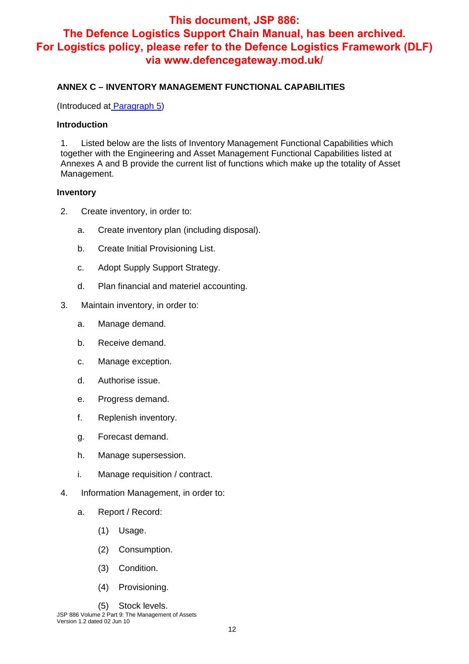#### **ANNEX C – INVENTORY MANAGEMENT FUNCTIONAL CAPABILITIES**

(Introduced at Paragraph 5)

#### **Introduction**

1. Listed below are the lists of Inventory Management Functional Capabilities which together with the Engineering and Asset Management Functional Capabilities listed at Annexes A and B provide the current list of functions which make up the totality of Asset Management.

#### **Inventory**

- 2. Create inventory, in order to:
	- a. Create inventory plan (including disposal).
	- b. Create Initial Provisioning List.
	- c. Adopt Supply Support Strategy.
	- d. Plan financial and materiel accounting.
- 3. Maintain inventory, in order to:
	- a. Manage demand.
	- b. Receive demand.
	- c. Manage exception.
	- d. Authorise issue.
	- e. Progress demand.
	- f. Replenish inventory.
	- g. Forecast demand.
	- h. Manage supersession.
	- i. Manage requisition / contract.
- 4. Information Management, in order to:
	- a. Report / Record:
		- (1) Usage.
		- (2) Consumption.
		- (3) Condition.
		- (4) Provisioning.
		- (5) Stock levels.

JSP 886 Volume 2 Part 9: The Management of Assets Version 1.2 dated 02 Jun 10